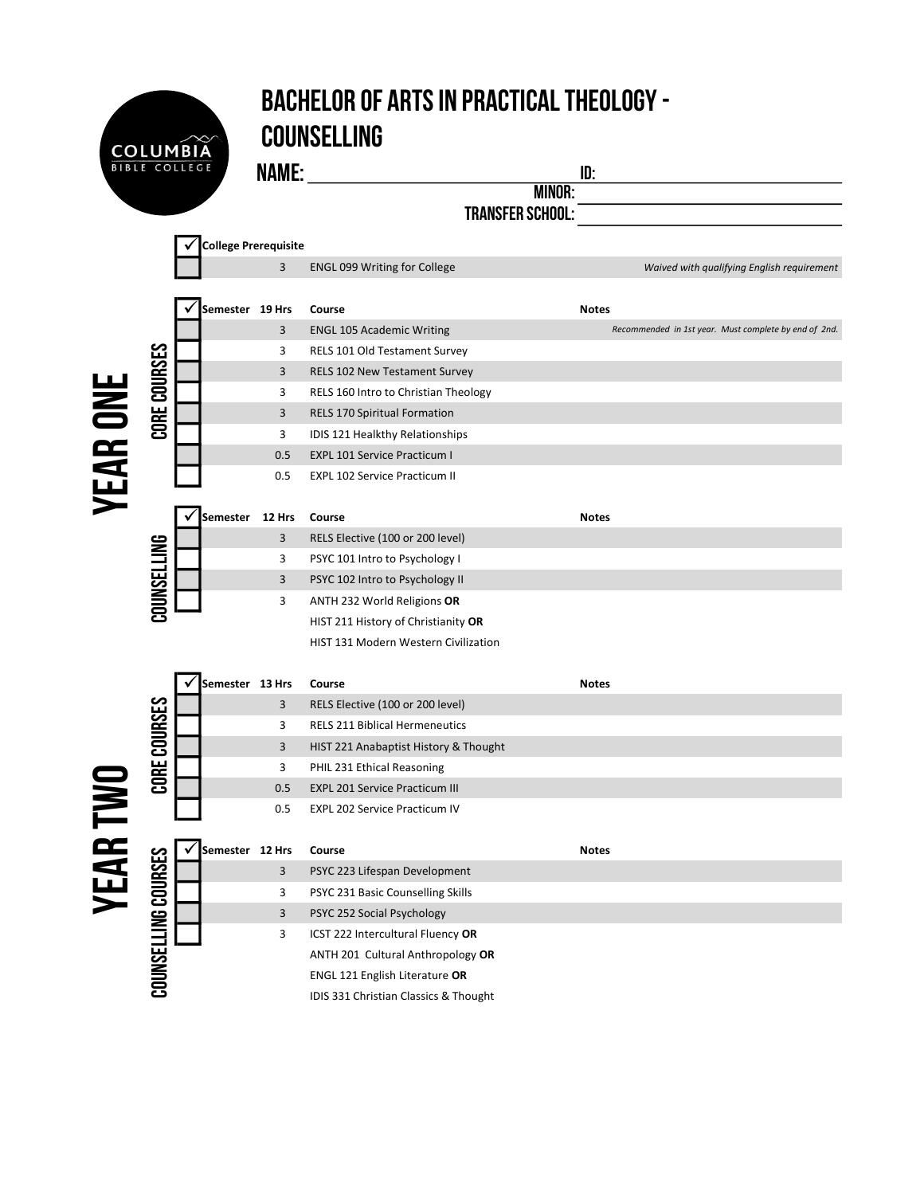

## Bachelor of Arts in Practical Theology - **COUNSELLING**

Name: id:

Minor:

Transfer School:

|                 |                            | College Prerequisite |                         |                                       |                                                       |
|-----------------|----------------------------|----------------------|-------------------------|---------------------------------------|-------------------------------------------------------|
|                 |                            |                      | $\overline{3}$          | <b>ENGL 099 Writing for College</b>   | Waived with qualifying English requirement            |
|                 |                            |                      |                         |                                       |                                                       |
|                 | CORE COURSES               |                      | Semester 19 Hrs         | Course                                | <b>Notes</b>                                          |
|                 |                            |                      | 3                       | <b>ENGL 105 Academic Writing</b>      | Recommended in 1st year. Must complete by end of 2nd. |
|                 |                            |                      | 3                       | RELS 101 Old Testament Survey         |                                                       |
|                 |                            |                      | 3                       | RELS 102 New Testament Survey         |                                                       |
|                 |                            |                      | 3                       | RELS 160 Intro to Christian Theology  |                                                       |
|                 |                            |                      | $\overline{\mathbf{3}}$ | RELS 170 Spiritual Formation          |                                                       |
|                 |                            |                      | 3                       | IDIS 121 Healkthy Relationships       |                                                       |
|                 |                            |                      | 0.5                     | <b>EXPL 101 Service Practicum I</b>   |                                                       |
|                 |                            |                      | 0.5                     | <b>EXPL 102 Service Practicum II</b>  |                                                       |
| YEAR ONE        |                            |                      |                         |                                       |                                                       |
|                 | COUNSELLING                | Semester             | 12 Hrs                  | Course                                | <b>Notes</b>                                          |
|                 |                            |                      | 3                       | RELS Elective (100 or 200 level)      |                                                       |
|                 |                            |                      | 3                       | PSYC 101 Intro to Psychology I        |                                                       |
|                 |                            |                      | 3                       | PSYC 102 Intro to Psychology II       |                                                       |
|                 |                            |                      | 3                       | ANTH 232 World Religions OR           |                                                       |
|                 |                            |                      |                         | HIST 211 History of Christianity OR   |                                                       |
|                 |                            |                      |                         | HIST 131 Modern Western Civilization  |                                                       |
|                 |                            |                      | Semester 13 Hrs         | Course                                | <b>Notes</b>                                          |
|                 | CORE COURSES               |                      | 3                       | RELS Elective (100 or 200 level)      |                                                       |
|                 |                            |                      | 3                       | <b>RELS 211 Biblical Hermeneutics</b> |                                                       |
|                 |                            |                      | $\overline{\mathbf{3}}$ | HIST 221 Anabaptist History & Thought |                                                       |
|                 |                            |                      | 3                       | PHIL 231 Ethical Reasoning            |                                                       |
|                 |                            |                      | 0.5                     | <b>EXPL 201 Service Practicum III</b> |                                                       |
|                 |                            |                      | 0.5                     | <b>EXPL 202 Service Practicum IV</b>  |                                                       |
|                 |                            |                      |                         |                                       |                                                       |
| <b>YEAR TWO</b> | <b>COUNSELLING COURSES</b> |                      | Semester 12 Hrs         | Course                                | <b>Notes</b>                                          |
|                 |                            |                      | 3                       | PSYC 223 Lifespan Development         |                                                       |
|                 |                            |                      | 3                       | PSYC 231 Basic Counselling Skills     |                                                       |
|                 |                            |                      | 3                       | PSYC 252 Social Psychology            |                                                       |
|                 |                            |                      | 3                       | ICST 222 Intercultural Fluency OR     |                                                       |
|                 |                            |                      |                         | ANTH 201 Cultural Anthropology OR     |                                                       |
|                 |                            |                      |                         | <b>ENGL 121 English Literature OR</b> |                                                       |
|                 |                            |                      |                         | IDIS 331 Christian Classics & Thought |                                                       |